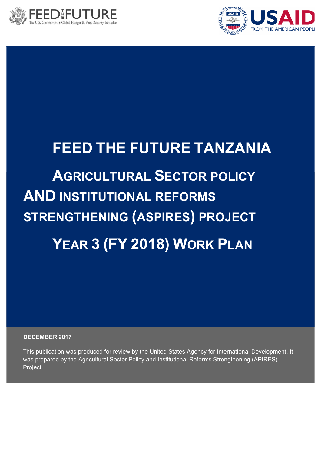



# **FEED THE FUTURE TANZANIA**

# **AGRICULTURAL SECTOR POLICY AND INSTITUTIONAL REFORMS STRENGTHENING (ASPIRES) PROJECT YEAR 3 (FY 2018) WORK PLAN**

**DECEMBER 2017**

This publication was produced for review by the United States Agency for International Development. It was prepared by the Agricultural Sector Policy and Institutional Reforms Strengthening (APIRES) Project.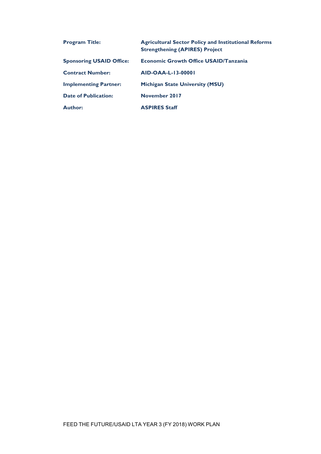| <b>Program Title:</b>           | <b>Agricultural Sector Policy and Institutional Reforms</b><br><b>Strengthening (APIRES) Project</b> |
|---------------------------------|------------------------------------------------------------------------------------------------------|
| <b>Sponsoring USAID Office:</b> | <b>Economic Growth Office USAID/Tanzania</b>                                                         |
| <b>Contract Number:</b>         | AID-OAA-L-13-00001                                                                                   |
| <b>Implementing Partner:</b>    | <b>Michigan State University (MSU)</b>                                                               |
| <b>Date of Publication:</b>     | November 2017                                                                                        |
| <b>Author:</b>                  | <b>ASPIRES Staff</b>                                                                                 |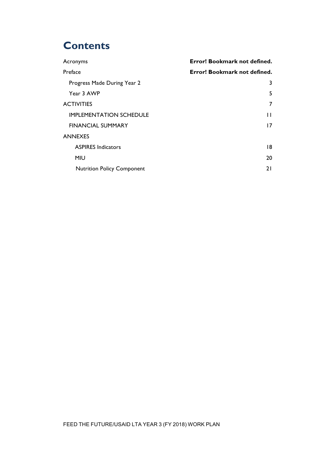## **Contents**

| Acronyms                          | Error! Bookmark not defined. |
|-----------------------------------|------------------------------|
| Preface                           | Error! Bookmark not defined. |
| Progress Made During Year 2       | 3                            |
| Year 3 AWP                        | 5                            |
| <b>ACTIVITIES</b>                 | 7                            |
| <b>IMPLEMENTATION SCHEDULE</b>    | Н                            |
| <b>FINANCIAL SUMMARY</b>          | 17                           |
| <b>ANNEXES</b>                    |                              |
| <b>ASPIRES Indicators</b>         | 18                           |
| <b>MIU</b>                        | 20                           |
| <b>Nutrition Policy Component</b> | 21                           |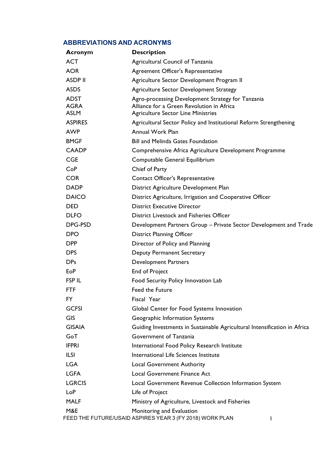#### **ABBREVIATIONS AND ACRONYMS**

| <b>Acronym</b>                            | <b>Description</b>                                                                                                                          |
|-------------------------------------------|---------------------------------------------------------------------------------------------------------------------------------------------|
| <b>ACT</b>                                | Agricultural Council of Tanzania                                                                                                            |
| <b>AOR</b>                                | Agreement Officer's Representative                                                                                                          |
| <b>ASDP II</b>                            | Agriculture Sector Development Program II                                                                                                   |
| <b>ASDS</b>                               | <b>Agriculture Sector Development Strategy</b>                                                                                              |
| <b>ADST</b><br><b>AGRA</b><br><b>ASLM</b> | Agro-processing Development Strategy for Tanzania<br>Alliance for a Green Revolution in Africa<br><b>Agriculture Sector Line Ministries</b> |
| <b>ASPIRES</b>                            | Agricultural Sector Policy and Institutional Reform Strengthening                                                                           |
| <b>AWP</b>                                | Annual Work Plan                                                                                                                            |
| <b>BMGF</b>                               | <b>Bill and Melinda Gates Foundation</b>                                                                                                    |
| <b>CAADP</b>                              | Comprehensive Africa Agriculture Development Programme                                                                                      |
| <b>CGE</b>                                | Computable General Equilibrium                                                                                                              |
| CoP                                       | Chief of Party                                                                                                                              |
| <b>COR</b>                                | Contact Officer's Representative                                                                                                            |
| <b>DADP</b>                               | District Agriculture Development Plan                                                                                                       |
| <b>DAICO</b>                              | District Agriculture, Irrigation and Cooperative Officer                                                                                    |
| <b>DED</b>                                | <b>District Executive Director</b>                                                                                                          |
| <b>DLFO</b>                               | District Livestock and Fisheries Officer                                                                                                    |
| DPG-PSD                                   | Development Partners Group - Private Sector Development and Trade                                                                           |
| <b>DPO</b>                                | <b>District Planning Officer</b>                                                                                                            |
| <b>DPP</b>                                | Director of Policy and Planning                                                                                                             |
| <b>DPS</b>                                | <b>Deputy Permanent Secretary</b>                                                                                                           |
| <b>DPs</b>                                | <b>Development Partners</b>                                                                                                                 |
| EoP                                       | End of Project                                                                                                                              |
| <b>FSP IL</b>                             | Food Security Policy Innovation Lab                                                                                                         |
| FTF                                       | Feed the Future                                                                                                                             |
| <b>FY</b>                                 | Fiscal Year                                                                                                                                 |
| <b>GCFSI</b>                              | Global Center for Food Systems Innovation                                                                                                   |
| <b>GIS</b>                                | Geographic Information Systems                                                                                                              |
| <b>GISAIA</b>                             | Guiding Investments in Sustainable Agricultural Intensification in Africa                                                                   |
| GoT                                       | Government of Tanzania                                                                                                                      |
| <b>IFPRI</b>                              | International Food Policy Research Institute                                                                                                |
| <b>ILSI</b>                               | International Life Sciences Institute                                                                                                       |
| <b>LGA</b>                                | <b>Local Government Authority</b>                                                                                                           |
| <b>LGFA</b>                               | <b>Local Government Finance Act</b>                                                                                                         |
| <b>LGRCIS</b>                             | Local Government Revenue Collection Information System                                                                                      |
| LoP                                       | Life of Project                                                                                                                             |
| <b>MALF</b>                               | Ministry of Agriculture, Livestock and Fisheries                                                                                            |
| M&E                                       | Monitoring and Evaluation<br>FEED THE FUTURE/USAID ASPIRES YEAR 3 (FY 2018) WORK PLAN                                                       |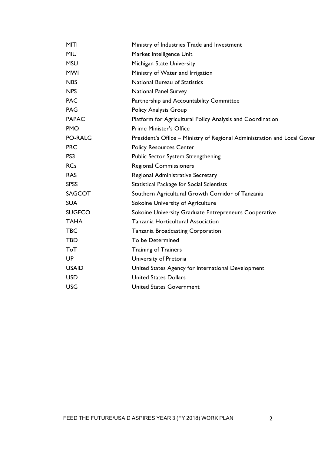| <b>MITI</b>    | Ministry of Industries Trade and Investment                              |
|----------------|--------------------------------------------------------------------------|
| <b>MIU</b>     | Market Intelligence Unit                                                 |
| <b>MSU</b>     | Michigan State University                                                |
| <b>MWI</b>     | Ministry of Water and Irrigation                                         |
| <b>NBS</b>     | National Bureau of Statistics                                            |
| <b>NPS</b>     | <b>National Panel Survey</b>                                             |
| <b>PAC</b>     | Partnership and Accountability Committee                                 |
| <b>PAG</b>     | Policy Analysis Group                                                    |
| <b>PAPAC</b>   | Platform for Agricultural Policy Analysis and Coordination               |
| <b>PMO</b>     | <b>Prime Minister's Office</b>                                           |
| <b>PO-RALG</b> | President's Office - Ministry of Regional Administration and Local Gover |
| <b>PRC</b>     | <b>Policy Resources Center</b>                                           |
| PS3            | Public Sector System Strengthening                                       |
| <b>RCs</b>     | <b>Regional Commissioners</b>                                            |
| <b>RAS</b>     | Regional Administrative Secretary                                        |
| <b>SPSS</b>    | <b>Statistical Package for Social Scientists</b>                         |
| <b>SAGCOT</b>  | Southern Agricultural Growth Corridor of Tanzania                        |
| <b>SUA</b>     | Sokoine University of Agriculture                                        |
| <b>SUGECO</b>  | Sokoine University Graduate Entrepreneurs Cooperative                    |
| <b>TAHA</b>    | Tanzania Horticultural Association                                       |
| <b>TBC</b>     | Tanzania Broadcasting Corporation                                        |
| <b>TBD</b>     | To be Determined                                                         |
| <b>ToT</b>     | <b>Training of Trainers</b>                                              |
| UP             | University of Pretoria                                                   |
| <b>USAID</b>   | United States Agency for International Development                       |
| <b>USD</b>     | <b>United States Dollars</b>                                             |
| <b>USG</b>     | <b>United States Government</b>                                          |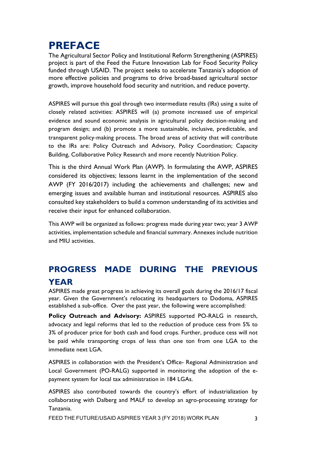## **PREFACE**

The Agricultural Sector Policy and Institutional Reform Strengthening (ASPIRES) project is part of the Feed the Future Innovation Lab for Food Security Policy funded through USAID. The project seeks to accelerate Tanzania's adoption of more effective policies and programs to drive broad-based agricultural sector growth, improve household food security and nutrition, and reduce poverty.

ASPIRES will pursue this goal through two intermediate results (IRs) using a suite of closely related activities: ASPIRES will (a) promote increased use of empirical evidence and sound economic analysis in agricultural policy decision-making and program design; and (b) promote a more sustainable, inclusive, predictable, and transparent policy-making process. The broad areas of activity that will contribute to the IRs are: Policy Outreach and Advisory, Policy Coordination; Capacity Building, Collaborative Policy Research and more recently Nutrition Policy.

This is the third Annual Work Plan (AWP). In formulating the AWP, ASPIRES considered its objectives; lessons learnt in the implementation of the second AWP (FY 2016/2017) including the achievements and challenges; new and emerging issues and available human and institutional resources. ASPIRES also consulted key stakeholders to build a common understanding of its activities and receive their input for enhanced collaboration.

This AWP will be organized as follows: progress made during year two; year 3 AWP activities, implementation schedule and financial summary. Annexes include nutrition and MIU activities.

## **PROGRESS MADE DURING THE PREVIOUS YEAR**

ASPIRES made great progress in achieving its overall goals during the 2016/17 fiscal year. Given the Government's relocating its headquarters to Dodoma, ASPIRES established a sub-office. Over the past year, the following were accomplished:

**Policy Outreach and Advisory:** ASPIRES supported PO-RALG in research, advocacy and legal reforms that led to the reduction of produce cess from 5% to 3% of producer price for both cash and food crops. Further, produce cess will not be paid while transporting crops of less than one ton from one LGA to the immediate next LGA.

ASPIRES in collaboration with the President's Office- Regional Administration and Local Government (PO-RALG) supported in monitoring the adoption of the epayment system for local tax administration in 184 LGAs.

ASPIRES also contributed towards the country's effort of industrialization by collaborating with Dalberg and MALF to develop an agro-processing strategy for Tanzania.

FEED THE FUTURE/USAID ASPIRES YEAR 3 (FY 2018) WORK PLAN 3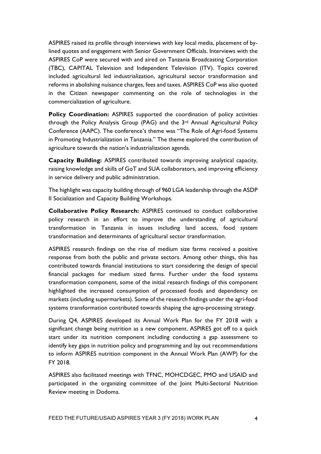ASPIRES raised its profile through interviews with key local media, placement of bylined quotes and engagement with Senior Government Officials. Interviews with the ASPIRES CoP were secured with and aired on Tanzania Broadcasting Corporation (TBC), CAPITAL Television and Independent Television (ITV). Topics covered included agricultural led industrialization, agricultural sector transformation and reforms in abolishing nuisance charges, fees and taxes. ASPIRES CoP was also quoted in the Citizen newspaper commenting on the role of technologies in the commercialization of agriculture.

**Policy Coordination:** ASPIRES supported the coordination of policy activities through the Policy Analysis Group (PAG) and the 3rd Annual Agricultural Policy Conference (AAPC). The conference's theme was "The Role of Agri-food Systems in Promoting Industrialization in Tanzania." The theme explored the contribution of agriculture towards the nation's industrialization agenda.

**Capacity Building:** ASPIRES contributed towards improving analytical capacity, raising knowledge and skills of GoT and SUA collaborators, and improving efficiency in service delivery and public administration.

The highlight was capacity building through of 960 LGA leadership through the ASDP II Socialization and Capacity Building Workshops.

**Collaborative Policy Research:** ASPIRES continued to conduct collaborative policy research in an effort to improve the understanding of agricultural transformation in Tanzania in issues including land access, food system transformation and determinants of agricultural sector transformation.

ASPIRES research findings on the rise of medium size farms received a positive response from both the public and private sectors. Among other things, this has contributed towards financial institutions to start considering the design of special financial packages for medium sized farms. Further under the food systems transformation component, some of the initial research findings of this component highlighted the increased consumption of processed foods and dependency on markets (including supermarkets). Some of the research findings under the agri-food systems transformation contributed towards shaping the agro-processing strategy.

During Q4, ASPIRES developed its Annual Work Plan for the FY 2018 with a significant change being nutrition as a new component. ASPIRES got off to a quick start under its nutrition component including conducting a gap assessment to identify key gaps in nutrition policy and programming and lay out recommendations to inform ASPIRES nutrition component in the Annual Work Plan (AWP) for the FY 2018.

ASPIRES also facilitated meetings with TFNC, MOHCDGEC, PMO and USAID and participated in the organizing committee of the Joint Multi-Sectoral Nutrition Review meeting in Dodoma.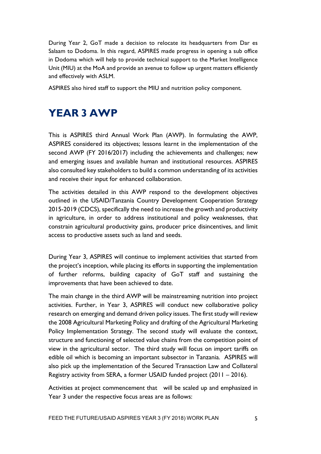During Year 2, GoT made a decision to relocate its headquarters from Dar es Salaam to Dodoma. In this regard, ASPIRES made progress in opening a sub office in Dodoma which will help to provide technical support to the Market Intelligence Unit (MIU) at the MoA and provide an avenue to follow up urgent matters efficiently and effectively with ASLM.

ASPIRES also hired staff to support the MIU and nutrition policy component.

## **YEAR 3 AWP**

This is ASPIRES third Annual Work Plan (AWP). In formulating the AWP, ASPIRES considered its objectives; lessons learnt in the implementation of the second AWP (FY 2016/2017) including the achievements and challenges; new and emerging issues and available human and institutional resources. ASPIRES also consulted key stakeholders to build a common understanding of its activities and receive their input for enhanced collaboration.

The activities detailed in this AWP respond to the development objectives outlined in the USAID/Tanzania Country Development Cooperation Strategy 2015-2019 (CDCS), specifically the need to increase the growth and productivity in agriculture, in order to address institutional and policy weaknesses, that constrain agricultural productivity gains, producer price disincentives, and limit access to productive assets such as land and seeds.

During Year 3, ASPIRES will continue to implement activities that started from the project's inception, while placing its efforts in supporting the implementation of further reforms, building capacity of GoT staff and sustaining the improvements that have been achieved to date.

The main change in the third AWP will be mainstreaming nutrition into project activities. Further, in Year 3, ASPIRES will conduct new collaborative policy research on emerging and demand driven policy issues. The first study will review the 2008 Agricultural Marketing Policy and drafting of the Agricultural Marketing Policy Implementation Strategy. The second study will evaluate the context, structure and functioning of selected value chains from the competition point of view in the agricultural sector. The third study will focus on import tariffs on edible oil which is becoming an important subsector in Tanzania. ASPIRES will also pick up the implementation of the Secured Transaction Law and Collateral Registry activity from SERA, a former USAID funded project (2011 – 2016).

Activities at project commencement that will be scaled up and emphasized in Year 3 under the respective focus areas are as follows: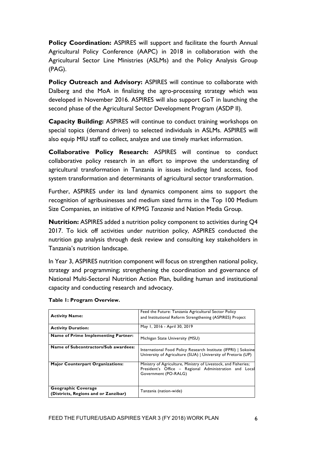**Policy Coordination:** ASPIRES will support and facilitate the fourth Annual Agricultural Policy Conference (AAPC) in 2018 in collaboration with the Agricultural Sector Line Ministries (ASLMs) and the Policy Analysis Group (PAG).

**Policy Outreach and Advisory:** ASPIRES will continue to collaborate with Dalberg and the MoA in finalizing the agro-processing strategy which was developed in November 2016. ASPIRES will also support GoT in launching the second phase of the Agricultural Sector Development Program (ASDP II).

**Capacity Building:** ASPIRES will continue to conduct training workshops on special topics (demand driven) to selected individuals in ASLMs. ASPIRES will also equip MIU staff to collect, analyze and use timely market information.

**Collaborative Policy Research:** ASPIRES will continue to conduct collaborative policy research in an effort to improve the understanding of agricultural transformation in Tanzania in issues including land access, food system transformation and determinants of agricultural sector transformation.

Further, ASPIRES under its land dynamics component aims to support the recognition of agribusinesses and medium sized farms in the Top 100 Medium Size Companies, an initiative of KPMG *Tanzania* and Nation Media Group.

**Nutrition:** ASPIRES added a nutrition policy component to activities during Q4 2017. To kick off activities under nutrition policy, ASPIRES conducted the nutrition gap analysis through desk review and consulting key stakeholders in Tanzania's nutrition landscape.

In Year 3, ASPIRES nutrition component will focus on strengthen national policy, strategy and programming; strengthening the coordination and governance of National Multi-Sectoral Nutrition Action Plan, building human and institutional capacity and conducting research and advocacy.

| <b>Activity Name:</b>                                       | Feed the Future: Tanzania Agricultural Sector Policy<br>and Institutional Reform Strengthening (ASPIRES) Project                                 |  |  |  |  |  |
|-------------------------------------------------------------|--------------------------------------------------------------------------------------------------------------------------------------------------|--|--|--|--|--|
| <b>Activity Duration:</b>                                   | May 1, 2016 - April 30, 2019                                                                                                                     |  |  |  |  |  |
| Name of Prime Implementing Partner:                         | Michigan State University (MSU)                                                                                                                  |  |  |  |  |  |
| Name of Subcontractors/Sub awardees:                        | International Food Policy Research Institute (IFPRI)   Sokoine<br>University of Agriculture (SUA)   University of Pretoria (UP)                  |  |  |  |  |  |
| <b>Major Counterpart Organizations:</b>                     | Ministry of Agriculture, Ministry of Livestock, and Fisheries;<br>President's Office - Regional Administration and Local<br>Government (PO-RALG) |  |  |  |  |  |
| Geographic Coverage<br>(Districts, Regions and or Zanzibar) | Tanzania (nation-wide)                                                                                                                           |  |  |  |  |  |

#### **Table 1: Program Overview.**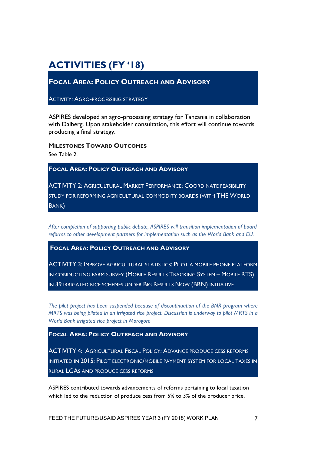## **ACTIVITIES (FY '18)**

**FOCAL AREA: POLICY OUTREACH AND ADVISORY**

**ACTIVITY: AGRO-PROCESSING STRATEGY** 

ASPIRES developed an agro-processing strategy for Tanzania in collaboration with Dalberg. Upon stakeholder consultation, this effort will continue towards producing a final strategy.

**MILESTONES TOWARD OUTCOMES**

See Table 2.

**FOCAL AREA: POLICY OUTREACH AND ADVISORY**

ACTIVITY 2: AGRICULTURAL MARKET PERFORMANCE: COORDINATE FEASIBILITY STUDY FOR REFORMING AGRICULTURAL COMMODITY BOARDS (WITH THE WORLD BANK)

*After completion of supporting public debate, ASPIRES will transition implementation of board reforms to other development partners for implementation such as the World Bank and EU.*

**FOCAL AREA: POLICY OUTREACH AND ADVISORY**

ACTIVITY 3: IMPROVE AGRICULTURAL STATISTICS: PILOT A MOBILE PHONE PLATFORM IN CONDUCTING FARM SURVEY (MOBILE RESULTS TRACKING SYSTEM – MOBILE RTS) IN 39 IRRIGATED RICE SCHEMES UNDER BIG RESULTS NOW (BRN) INITIATIVE

*The pilot project has been suspended because of discontinuation of the BNR program where MRTS was being piloted in an irrigated rice project. Discussion is underway to pilot MRTS in a World Bank irrigated rice project in Morogoro*

**FOCAL AREA: POLICY OUTREACH AND ADVISORY**

ACTIVITY 4: AGRICULTURAL FISCAL POLICY: ADVANCE PRODUCE CESS REFORMS INITIATED IN 2015: PILOT ELECTRONIC/MOBILE PAYMENT SYSTEM FOR LOCAL TAXES IN RURAL LGAS AND PRODUCE CESS REFORMS

ASPIRES contributed towards advancements of reforms pertaining to local taxation which led to the reduction of produce cess from 5% to 3% of the producer price.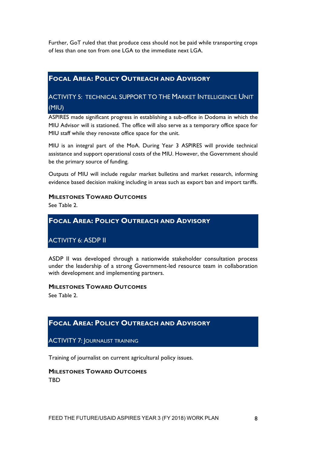Further, GoT ruled that that produce cess should not be paid while transporting crops of less than one ton from one LGA to the immediate next LGA.

#### **FOCAL AREA: POLICY OUTREACH AND ADVISORY**

#### ACTIVITY 5: TECHNICAL SUPPORT TO THE MARKET INTELLIGENCE UNIT (MIU)

ASPIRES made significant progress in establishing a sub-office in Dodoma in which the MIU Advisor will is stationed. The office will also serve as a temporary office space for MIU staff while they renovate office space for the unit.

MIU is an integral part of the MoA. During Year 3 ASPIRES will provide technical assistance and support operational costs of the MIU. However, the Government should be the primary source of funding.

Outputs of MIU will include regular market bulletins and market research, informing evidence based decision making including in areas such as export ban and import tariffs.

#### **MILESTONES TOWARD OUTCOMES**

See Table 2.

#### **FOCAL AREA: POLICY OUTREACH AND ADVISORY**

ACTIVITY 6: ASDP II

ASDP II was developed through a nationwide stakeholder consultation process under the leadership of a strong Government-led resource team in collaboration with development and implementing partners.

#### **MILESTONES TOWARD OUTCOMES**

See Table 2.

#### **FOCAL AREA: POLICY OUTREACH AND ADVISORY**

ACTIVITY 7: JOURNALIST TRAINING

Training of journalist on current agricultural policy issues.

**MILESTONES TOWARD OUTCOMES** TBD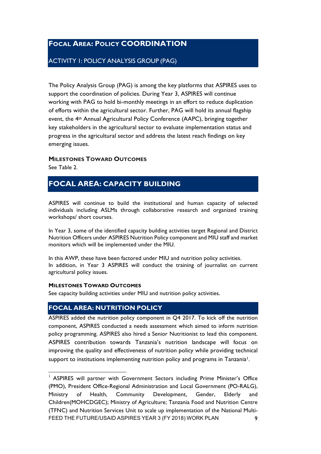#### **FOCAL AREA: POLICY COORDINATION**

#### ACTIVITY 1: POLICY ANALYSIS GROUP (PAG)

The Policy Analysis Group (PAG) is among the key platforms that ASPIRES uses to support the coordination of policies. During Year 3, ASPIRES will continue working with PAG to hold bi-monthly meetings in an effort to reduce duplication of efforts within the agricultural sector. Further, PAG will hold its annual flagship event, the 4th Annual Agricultural Policy Conference (AAPC), bringing together key stakeholders in the agricultural sector to evaluate implementation status and progress in the agricultural sector and address the latest reach findings on key emerging issues.

#### **MILESTONES TOWARD OUTCOMES**

See Table 2.

#### **FOCAL AREA: CAPACITY BUILDING**

ASPIRES will continue to build the institutional and human capacity of selected individuals including ASLMs through collaborative research and organized training workshops/ short courses.

In Year 3, some of the identified capacity building activities target Regional and District Nutrition Officers under ASPIRES Nutrition Policy component and MIU staff and market monitors which will be implemented under the MIU.

In this AWP, these have been factored under MIU and nutrition policy activities. In addition, in Year 3 ASPIRES will conduct the training of journalist on current agricultural policy issues.

#### **MILESTONES TOWARD OUTCOMES**

See capacity building activities under MIU and nutrition policy activities.

#### **FOCAL AREA: NUTRITION POLICY**

ASPIRES added the nutrition policy component in Q4 2017. To kick off the nutrition component, ASPIRES conducted a needs assessment which aimed to inform nutrition policy programming. ASPIRES also hired a Senior Nutritionist to lead this component. ASPIRES contribution towards Tanzania's nutrition landscape will focus on improving the quality and effectiveness of nutrition policy while providing technical support to institutions implementing nutrition policy and programs in Tanzania<sup>1</sup>.

FEED THE FUTURE/USAID ASPIRES YEAR 3 (FY 2018) WORK PLAN 9  $1$  ASPIRES will partner with Government Sectors including Prime Minister's Office (PMO), President Office-Regional Administration and Local Government (PO-RALG), Ministry of Health, Community Development, Gender, Elderly and Children(MOHCDGEC); Ministry of Agriculture; Tanzania Food and Nutrition Centre (TFNC) and Nutrition Services Unit to scale up implementation of the National Multi-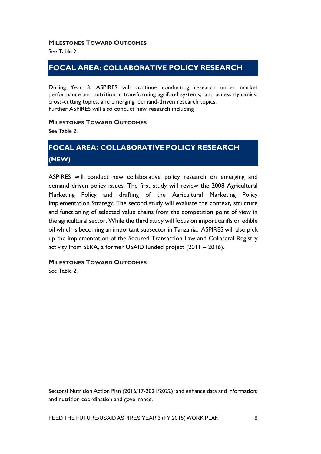#### **MILESTONES TOWARD OUTCOMES**

See Table 2.

#### **FOCAL AREA: COLLABORATIVE POLICY RESEARCH**

During Year 3, ASPIRES will continue conducting research under market performance and nutrition in transforming agrifood systems; land access dynamics; cross-cutting topics, and emerging, demand-driven research topics. Further ASPIRES will also conduct new research including

#### **MILESTONES TOWARD OUTCOMES**

See Table 2.

### **FOCAL AREA: COLLABORATIVE POLICY RESEARCH (NEW)**

ASPIRES will conduct new collaborative policy research on emerging and demand driven policy issues. The first study will review the 2008 Agricultural Marketing Policy and drafting of the Agricultural Marketing Policy Implementation Strategy. The second study will evaluate the context, structure and functioning of selected value chains from the competition point of view in the agricultural sector. While the third study will focus on import tariffs on edible oil which is becoming an important subsector in Tanzania. ASPIRES will also pick up the implementation of the Secured Transaction Law and Collateral Registry activity from SERA, a former USAID funded project (2011 – 2016).

#### **MILESTONES TOWARD OUTCOMES**

See Table 2.

 $\overline{a}$ 

Sectoral Nutrition Action Plan (2016/17-2021/2022) and enhance data and information; and nutrition coordination and governance.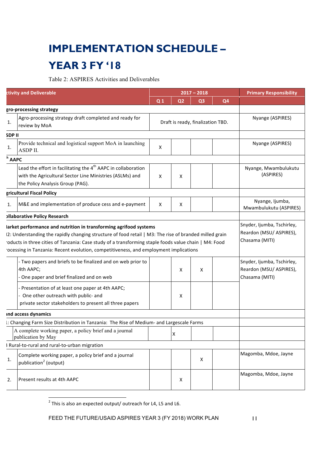## **IMPLEMENTATION SCHEDULE –**

## **YEAR 3 FY '18**

Table 2: ASPIRES Activities and Deliverables

| <b>ctivity and Deliverable</b> |                                                                                                                                                                                                                                                                                                                                                                            |                                   |                                           | $2017 - 2018$  | <b>Primary Responsibility</b> |                                                                         |
|--------------------------------|----------------------------------------------------------------------------------------------------------------------------------------------------------------------------------------------------------------------------------------------------------------------------------------------------------------------------------------------------------------------------|-----------------------------------|-------------------------------------------|----------------|-------------------------------|-------------------------------------------------------------------------|
|                                |                                                                                                                                                                                                                                                                                                                                                                            | Q <sub>1</sub>                    | Q <sub>2</sub>                            | Q <sub>3</sub> | Q4                            |                                                                         |
|                                | gro-processing strategy                                                                                                                                                                                                                                                                                                                                                    |                                   |                                           |                |                               |                                                                         |
| 1.                             | Agro-processing strategy draft completed and ready for<br>review by MoA                                                                                                                                                                                                                                                                                                    | Draft is ready, finalization TBD. |                                           |                |                               | Nyange (ASPIRES)                                                        |
| <b>SDPII</b>                   |                                                                                                                                                                                                                                                                                                                                                                            |                                   |                                           |                |                               |                                                                         |
| 1.                             | Provide technical and logistical support MoA in launching<br>ASDP II.                                                                                                                                                                                                                                                                                                      | X                                 |                                           |                |                               | Nyange (ASPIRES)                                                        |
| $h$ AAPC                       |                                                                                                                                                                                                                                                                                                                                                                            |                                   |                                           |                |                               |                                                                         |
|                                | Lead the effort in facilitating the 4 <sup>th</sup> AAPC in collaboration<br>with the Agricultural Sector Line Ministries (ASLMs) and<br>the Policy Analysis Group (PAG).                                                                                                                                                                                                  | X                                 | x                                         |                |                               | Nyange, Mwambulukutu<br>(ASPIRES)                                       |
|                                | gricultural Fiscal Policy                                                                                                                                                                                                                                                                                                                                                  |                                   |                                           |                |                               |                                                                         |
| 1.                             | M&E and implementation of produce cess and e-payment                                                                                                                                                                                                                                                                                                                       | X                                 | х                                         |                |                               | Nyange, Ijumba,<br>Mwambulukutu (ASPIRES)                               |
|                                | <b>Ollaborative Policy Research</b>                                                                                                                                                                                                                                                                                                                                        |                                   |                                           |                |                               |                                                                         |
|                                | larket performance and nutrition in transforming agrifood systems<br>2: Understanding the rapidly changing structure of food retail   M3: The rise of branded milled grain<br>oducts in three cities of Tanzania: Case study of a transforming staple foods value chain   M4: Food<br>ocessing in Tanzania: Recent evolution, competitiveness, and employment implications |                                   | Reardon (MSU/ ASPIRES),<br>Chasama (MITI) |                |                               |                                                                         |
|                                | - Two papers and briefs to be finalized and on web prior to<br>4th AAPC;<br>One paper and brief finalized and on web                                                                                                                                                                                                                                                       |                                   | x                                         | X              |                               | Snyder, Ijumba, Tschirley,<br>Reardon (MSU/ ASPIRES),<br>Chasama (MITI) |
|                                | Presentation of at least one paper at 4th AAPC;<br>One other outreach with public- and<br>private sector stakeholders to present all three papers                                                                                                                                                                                                                          |                                   | х                                         |                |                               |                                                                         |
|                                | <b>ind access dynamics</b>                                                                                                                                                                                                                                                                                                                                                 |                                   |                                           |                |                               |                                                                         |
|                                | I: Changing Farm Size Distribution in Tanzania: The Rise of Medium- and Largescale Farms                                                                                                                                                                                                                                                                                   |                                   |                                           |                |                               |                                                                         |
|                                | A complete working paper, a policy brief and a journal<br>publication by May                                                                                                                                                                                                                                                                                               |                                   |                                           |                |                               |                                                                         |
|                                | } Rural-to-rural and rural-to-urban migration                                                                                                                                                                                                                                                                                                                              |                                   |                                           |                |                               |                                                                         |
| 1.                             | Complete working paper, a policy brief and a journal<br>publication <sup>2</sup> (output)                                                                                                                                                                                                                                                                                  |                                   |                                           | X              |                               | Magomba, Mdoe, Jayne                                                    |
| 2.                             | Present results at 4th AAPC                                                                                                                                                                                                                                                                                                                                                |                                   | X                                         |                |                               | Magomba, Mdoe, Jayne                                                    |

 $^2$  This is also an expected output/ outreach for L4, L5 and L6.

 $\overline{a}$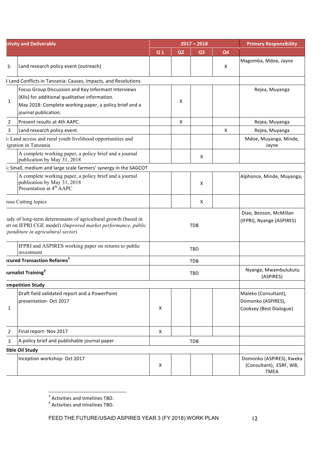| <b>ctivity and Deliverable</b> |                                                                                                                                                                                         |                |                | $2017 - 2018$  | <b>Primary Responsibility</b>                       |                                                                       |
|--------------------------------|-----------------------------------------------------------------------------------------------------------------------------------------------------------------------------------------|----------------|----------------|----------------|-----------------------------------------------------|-----------------------------------------------------------------------|
|                                |                                                                                                                                                                                         | Q <sub>1</sub> | Q <sub>2</sub> | Q <sub>3</sub> | Q <sub>4</sub>                                      |                                                                       |
| 3.                             | Land research policy event (outreach)                                                                                                                                                   |                |                |                | X                                                   | Magomba, Mdoe, Jayne                                                  |
|                                | I Land Conflicts in Tanzania: Causes, Impacts, and Resolutions                                                                                                                          |                |                |                |                                                     |                                                                       |
| $\mathbf{1}$                   | Focus Group Discussion and Key Informant Interviews<br>(KIIs) for additional qualitative information.<br>May 2018: Complete working paper, a policy brief and a<br>journal publication. |                | x              |                |                                                     | Rejea, Muyanga                                                        |
| 2                              | Present results at 4th AAPC.                                                                                                                                                            |                | X              |                |                                                     | Rejea, Muyanga                                                        |
| 3                              | Land research policy event.                                                                                                                                                             |                |                |                | X                                                   | Rejea, Muyanga                                                        |
|                                | i: Land access and rural youth livelihood opportunities and<br>igration in Tanzania                                                                                                     |                |                |                |                                                     | Mdoe, Muyanga, Minde,<br>Jayne                                        |
|                                | A complete working paper, a policy brief and a journal<br>publication by May 31, 2018                                                                                                   |                |                | X              |                                                     |                                                                       |
|                                | i: Small, medium and large scale farmers' synergy in the SAGCOT                                                                                                                         |                |                |                |                                                     |                                                                       |
|                                | A complete working paper, a policy brief and a journal<br>publication by May 31, 2018<br>Presentation at 4 <sup>th</sup> AAPC                                                           |                |                | X              |                                                     | Alphonce, Minde, Muyanga,                                             |
|                                | ross Cutting topics                                                                                                                                                                     |                |                | Χ              |                                                     |                                                                       |
|                                | ady of long-term determinants of agricultural growth (based in<br>art on IFPRI CGE model) (Improved market performance, public<br>:penditure in agricultural sector)                    |                |                | <b>TDB</b>     | Diao, Benson, McMillan<br>(IFPRI), Nyange (ASPIRES) |                                                                       |
|                                | IFPRI and ASPIRES working paper on returns to public<br>investment                                                                                                                      |                |                | <b>TBD</b>     |                                                     |                                                                       |
|                                | <b>Ecured Transaction Reforms</b> <sup>3</sup>                                                                                                                                          |                |                | <b>TDB</b>     |                                                     |                                                                       |
|                                | urnalist Training <sup>4</sup>                                                                                                                                                          |                |                | <b>TBD</b>     | Nyange, Mwambulukutu<br>(ASPIRES)                   |                                                                       |
|                                | <b>ompetition Study</b>                                                                                                                                                                 |                |                |                |                                                     |                                                                       |
| 1                              | Draft field validated report and a PowerPoint<br>presentation-Oct 2017                                                                                                                  | X              |                |                |                                                     | Maleko (Consultant),<br>Domonko (ASPIRES),<br>Cooksey (Best Dialogue) |
| 2                              | Final report- Nov 2017                                                                                                                                                                  | X              |                |                |                                                     |                                                                       |
| 3                              | A policy brief and publishable journal paper                                                                                                                                            |                |                | <b>TDB</b>     |                                                     |                                                                       |
|                                | lible Oil Study                                                                                                                                                                         |                |                |                |                                                     |                                                                       |
|                                | Inception workshop- Oct 2017                                                                                                                                                            | X              |                |                |                                                     | Domonko (ASPIRES), Kweka<br>(Consultant), ESRF, WB,<br><b>TMEA</b>    |

 $\frac{3}{4}$  Activities and timelines TBD.<br> $\frac{4}{4}$  Activities and timelines TBD.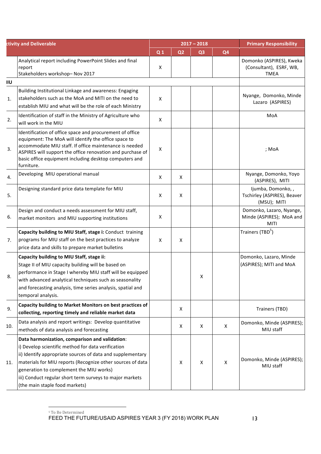|     | <b>ctivity and Deliverable</b>                                                                                                                                                                                                                                                                                                                                            | $2017 - 2018$  |                |                |                | <b>Primary Responsibility</b>                                       |
|-----|---------------------------------------------------------------------------------------------------------------------------------------------------------------------------------------------------------------------------------------------------------------------------------------------------------------------------------------------------------------------------|----------------|----------------|----------------|----------------|---------------------------------------------------------------------|
|     |                                                                                                                                                                                                                                                                                                                                                                           | Q <sub>1</sub> | Q <sub>2</sub> | Q <sub>3</sub> | Q <sub>4</sub> |                                                                     |
|     | Analytical report including PowerPoint Slides and final<br>report<br>Stakeholders workshop- Nov 2017                                                                                                                                                                                                                                                                      | X              |                |                |                | Domonko (ASPIRES), Kweka<br>(Consultant), ESRF, WB,<br><b>TMEA</b>  |
| ΙIU |                                                                                                                                                                                                                                                                                                                                                                           |                |                |                |                |                                                                     |
| 1.  | Building Institutional Linkage and awareness: Engaging<br>stakeholders such as the MoA and MITI on the need to<br>establish MIU and what will be the role of each Ministry                                                                                                                                                                                                | X              |                |                |                | Nyange, Domonko, Minde<br>Lazaro (ASPIRES)                          |
| 2.  | Identification of staff in the Ministry of Agriculture who<br>will work in the MIU                                                                                                                                                                                                                                                                                        | X              |                |                |                | MoA                                                                 |
| 3.  | Identification of office space and procurement of office<br>equipment: The MoA will identify the office space to<br>accommodate MIU staff. If office maintenance is needed<br>ASPIRES will support the office renovation and purchase of<br>basic office equipment including desktop computers and<br>furniture.                                                          | X              |                |                |                | ; MoA                                                               |
| 4.  | Developing MIU operational manual                                                                                                                                                                                                                                                                                                                                         | X              | X              |                |                | Nyange, Domonko, Yoyo<br>(ASPIRES), MITI                            |
| 5.  | Designing standard price data template for MIU                                                                                                                                                                                                                                                                                                                            | X              | Χ              |                |                | Ijumba, Domonko,,<br>Tschirley (ASPIRES), Beaver<br>(MSU); MITI     |
| 6.  | Design and conduct a needs assessment for MIU staff,<br>market monitors and MIU supporting institutions                                                                                                                                                                                                                                                                   | X              |                |                |                | Domonko, Lazaro, Nyange,<br>Minde (ASPIRES); MoA and<br><b>MITI</b> |
| 7.  | Capacity building to MIU Staff, stage i: Conduct training<br>programs for MIU staff on the best practices to analyze<br>price data and skills to prepare market bulletins                                                                                                                                                                                                 | X              | X              |                |                | Trainers (TBD <sup>5</sup> )                                        |
| 8.  | Capacity building to MIU Staff, stage ii:<br>Stage II of MIU capacity building will be based on<br>performance in Stage I whereby MIU staff will be equipped<br>with advanced analytical techniques such as seasonality<br>and forecasting analysis, time series analysis, spatial and<br>temporal analysis.                                                              |                |                | X              |                | Domonko, Lazaro, Minde<br>(ASPIRES); MITI and MoA                   |
| 9.  | Capacity building to Market Monitors on best practices of<br>collecting, reporting timely and reliable market data                                                                                                                                                                                                                                                        |                | X              |                |                | Trainers (TBD)                                                      |
| 10. | Data analysis and report writings: Develop quantitative<br>methods of data analysis and forecasting                                                                                                                                                                                                                                                                       |                | X              | X              | X              | Domonko, Minde (ASPIRES);<br>MIU staff                              |
| 11. | Data harmonization, comparison and validation:<br>i) Develop scientific method for data verification<br>ii) Identify appropriate sources of data and supplementary<br>materials for MIU reports (Recognize other sources of data<br>generation to complement the MIU works)<br>iii) Conduct regular short term surveys to major markets<br>(the main staple food markets) |                | X              | X              | X              | Domonko, Minde (ASPIRES);<br>MIU staff                              |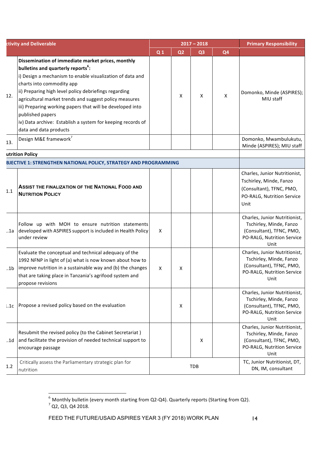| <b>ctivity and Deliverable</b> |                                                                                                                                                                                                                                                                                                                                                                                                                                                                                            |                |                | $2017 - 2018$  | <b>Primary Responsibility</b> |                                                                                                                            |
|--------------------------------|--------------------------------------------------------------------------------------------------------------------------------------------------------------------------------------------------------------------------------------------------------------------------------------------------------------------------------------------------------------------------------------------------------------------------------------------------------------------------------------------|----------------|----------------|----------------|-------------------------------|----------------------------------------------------------------------------------------------------------------------------|
|                                |                                                                                                                                                                                                                                                                                                                                                                                                                                                                                            | Q <sub>1</sub> | Q <sub>2</sub> | Q <sub>3</sub> | Q <sub>4</sub>                |                                                                                                                            |
| 12.                            | Dissemination of immediate market prices, monthly<br>bulletins and quarterly reports <sup>6</sup> :<br>i) Design a mechanism to enable visualization of data and<br>charts into commodity app<br>ii) Preparing high level policy debriefings regarding<br>agricultural market trends and suggest policy measures<br>iii) Preparing working papers that will be developed into<br>published papers<br>iv) Data archive: Establish a system for keeping records of<br>data and data products |                | X              | X              | X                             | Domonko, Minde (ASPIRES);<br>MIU staff                                                                                     |
| 13.                            | Design M&E framework <sup>7</sup>                                                                                                                                                                                                                                                                                                                                                                                                                                                          |                |                |                |                               | Domonko, Mwambulukutu,<br>Minde (ASPIRES); MIU staff                                                                       |
|                                | utrition Policy                                                                                                                                                                                                                                                                                                                                                                                                                                                                            |                |                |                |                               |                                                                                                                            |
|                                | BJECTIVE 1: STRENGTHEN NATIONAL POLICY, STRATEGY AND PROGRAMMING                                                                                                                                                                                                                                                                                                                                                                                                                           |                |                |                |                               |                                                                                                                            |
| 1.1                            | <b>ASSIST THE FINALIZATION OF THE NATIONAL FOOD AND</b><br><b>NUTRITION POLICY</b>                                                                                                                                                                                                                                                                                                                                                                                                         |                |                |                |                               | Charles, Junior Nutritionist,<br>Tschirley, Minde, Fanzo<br>(Consultant), TFNC, PMO,<br>PO-RALG, Nutrition Service<br>Unit |
|                                | Follow up with MOH to ensure nutrition statements<br>1a developed with ASPIRES support is included in Health Policy<br>under review                                                                                                                                                                                                                                                                                                                                                        | X              |                |                |                               | Charles, Junior Nutritionist,<br>Tschirley, Minde, Fanzo<br>(Consultant), TFNC, PMO,<br>PO-RALG, Nutrition Service<br>Unit |
| .1 <sub>b</sub>                | Evaluate the conceptual and technical adequacy of the<br>1992 NFNP in light of (a) what is now known about how to<br>improve nutrition in a sustainable way and (b) the changes<br>that are taking place in Tanzania's agrifood system and<br>propose revisions                                                                                                                                                                                                                            | $\mathsf{X}$   | X              |                |                               | Charles, Junior Nutritionist,<br>Tschirley, Minde, Fanzo<br>(Consultant), TFNC, PMO,<br>PO-RALG, Nutrition Service<br>Unit |
| 1.1c                           | Propose a revised policy based on the evaluation                                                                                                                                                                                                                                                                                                                                                                                                                                           |                | Χ              |                |                               | Charles, Junior Nutritionist,<br>Tschirley, Minde, Fanzo<br>(Consultant), TFNC, PMO,<br>PO-RALG, Nutrition Service<br>Unit |
| .1d                            | Resubmit the revised policy (to the Cabinet Secretariat)<br>and facilitate the provision of needed technical support to<br>encourage passage                                                                                                                                                                                                                                                                                                                                               |                |                | Χ              |                               | Charles, Junior Nutritionist,<br>Tschirley, Minde, Fanzo<br>(Consultant), TFNC, PMO,<br>PO-RALG, Nutrition Service<br>Unit |
| 1.2                            | Critically assess the Parliamentary strategic plan for<br>nutrition                                                                                                                                                                                                                                                                                                                                                                                                                        |                |                | <b>TDB</b>     |                               | TC, Junior Nutritionist, DT,<br>DN, IM, consultant                                                                         |

<sup>&</sup>lt;sup>6</sup> Monthly bulletin (every month starting from Q2-Q4). Quarterly reports (Starting from Q2).<br><sup>7</sup> Q2, Q3, Q4 2018.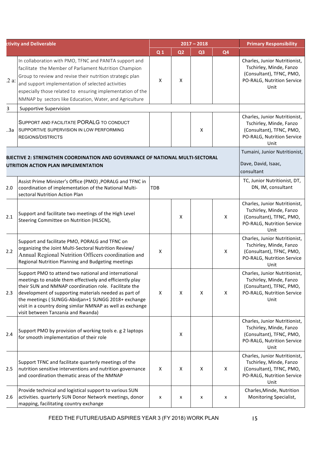|     | ctivity and Deliverable                                                                                                                                                                                                                                                                                                                                                                      |                                                                    |                | $2017 - 2018$  | <b>Primary Responsibility</b> |                                                                                                                            |
|-----|----------------------------------------------------------------------------------------------------------------------------------------------------------------------------------------------------------------------------------------------------------------------------------------------------------------------------------------------------------------------------------------------|--------------------------------------------------------------------|----------------|----------------|-------------------------------|----------------------------------------------------------------------------------------------------------------------------|
|     |                                                                                                                                                                                                                                                                                                                                                                                              | Q <sub>1</sub>                                                     | Q <sub>2</sub> | Q <sub>3</sub> | Q <sub>4</sub>                |                                                                                                                            |
| 2a  | In collaboration with PMO, TFNC and PANITA support and<br>facilitate the Member of Parliament Nutrition Champion<br>Group to review and revise their nutrition strategic plan<br>and support implementation of selected activities<br>especially those related to ensuring implementation of the<br>NMNAP by sectors like Education, Water, and Agriculture                                  | X                                                                  | X              |                |                               | Charles, Junior Nutritionist,<br>Tschirley, Minde, Fanzo<br>(Consultant), TFNC, PMO,<br>PO-RALG, Nutrition Service<br>Unit |
| 3   | <b>Supportive Supervision</b>                                                                                                                                                                                                                                                                                                                                                                |                                                                    |                |                |                               |                                                                                                                            |
| За  | SUPPORT AND FACILITATE PORALG TO CONDUCT<br>SUPPORTIVE SUPERVISION IN LOW PERFORMING<br>REGIONS/DISTRICTS                                                                                                                                                                                                                                                                                    |                                                                    |                | x              |                               | Charles, Junior Nutritionist,<br>Tschirley, Minde, Fanzo<br>(Consultant), TFNC, PMO,<br>PO-RALG, Nutrition Service<br>Unit |
|     | BJECTIVE 2: STRENGTHEN COORDINATION AND GOVERNANCE OF NATIONAL MULTI-SECTORAL<br>UTRITION ACTION PLAN IMPLEMENTATION                                                                                                                                                                                                                                                                         | Tumaini, Junior Nutritionist,<br>Dave, David, Isaac,<br>consultant |                |                |                               |                                                                                                                            |
| 2.0 | Assist Prime Minister's Office (PMO), PORALG and TFNC in<br>coordination of implementation of the National Multi-<br>sectoral Nutrition Action Plan                                                                                                                                                                                                                                          | <b>TDB</b>                                                         |                |                |                               | TC, Junior Nutritionist, DT,<br>DN, IM, consultant                                                                         |
| 2.1 | Support and facilitate two meetings of the High Level<br>Steering Committee on Nutrition (HLSCN),                                                                                                                                                                                                                                                                                            |                                                                    | X              |                | X                             | Charles, Junior Nutritionist,<br>Tschirley, Minde, Fanzo<br>(Consultant), TFNC, PMO,<br>PO-RALG, Nutrition Service<br>Unit |
| 2.2 | Support and facilitate PMO, PORALG and TFNC on<br>organizing the Joint Multi-Sectoral Nutrition Review/<br>Annual Regional Nutrition Officers coordination and<br>Regional Nutrition Planning and Budgeting meetings                                                                                                                                                                         | X                                                                  |                |                | X                             | Charles, Junior Nutritionist,<br>Tschirley, Minde, Fanzo<br>(Consultant), TFNC, PMO,<br>PO-RALG, Nutrition Service<br>Unit |
| 2.3 | Support PMO to attend two national and international<br>meetings to enable them effectively and efficiently play<br>their SUN and NMNAP coordination role. Facilitate the<br>development of supporting materials needed as part of<br>the meetings (SUNGG-Abidjan+1 SUNGG 2018+ exchange<br>visit in a country doing similar NMNAP as well as exchange<br>visit between Tanzania and Rwanda) | X                                                                  | X              | X              | X                             | Charles, Junior Nutritionist,<br>Tschirley, Minde, Fanzo<br>(Consultant), TFNC, PMO,<br>PO-RALG, Nutrition Service<br>Unit |
| 2.4 | Support PMO by provision of working tools e. g 2 laptops<br>for smooth implementation of their role                                                                                                                                                                                                                                                                                          |                                                                    | X              |                |                               | Charles, Junior Nutritionist,<br>Tschirley, Minde, Fanzo<br>(Consultant), TFNC, PMO,<br>PO-RALG, Nutrition Service<br>Unit |
| 2.5 | Support TFNC and facilitate quarterly meetings of the<br>nutrition sensitive interventions and nutrition governance<br>and coordination thematic areas of the NMNAP                                                                                                                                                                                                                          | X                                                                  | Χ              | X              | X                             | Charles, Junior Nutritionist,<br>Tschirley, Minde, Fanzo<br>(Consultant), TFNC, PMO,<br>PO-RALG, Nutrition Service<br>Unit |
| 2.6 | Provide technical and logistical support to various SUN<br>activities. quarterly SUN Donor Network meetings, donor<br>mapping, facilitating country exchange                                                                                                                                                                                                                                 | x                                                                  | x              | x              | x                             | Charles, Minde, Nutrition<br>Monitoring Specialist,                                                                        |

FEED THE FUTURE/USAID ASPIRES YEAR 3 (FY 2018) WORK PLAN 15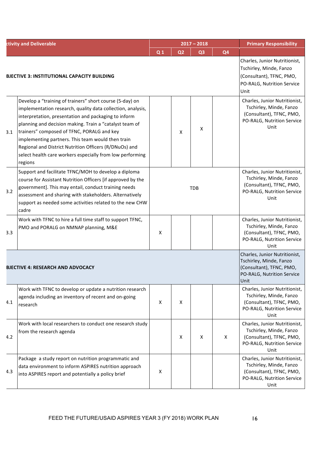| <b>ctivity and Deliverable</b> |                                                                                                                                                                                                                                                                                                                                                                                                                                                                                 |                           |                | $2017 - 2018$  | <b>Primary Responsibility</b> |                                                                                                                            |
|--------------------------------|---------------------------------------------------------------------------------------------------------------------------------------------------------------------------------------------------------------------------------------------------------------------------------------------------------------------------------------------------------------------------------------------------------------------------------------------------------------------------------|---------------------------|----------------|----------------|-------------------------------|----------------------------------------------------------------------------------------------------------------------------|
|                                |                                                                                                                                                                                                                                                                                                                                                                                                                                                                                 | Q <sub>1</sub>            | Q <sub>2</sub> | Q <sub>3</sub> | Q <sub>4</sub>                |                                                                                                                            |
|                                | <b>BJECTIVE 3: INSTITUTIONAL CAPACITY BUILDING</b>                                                                                                                                                                                                                                                                                                                                                                                                                              |                           |                |                |                               | Charles, Junior Nutritionist,<br>Tschirley, Minde, Fanzo<br>(Consultant), TFNC, PMO,<br>PO-RALG, Nutrition Service<br>Unit |
| 3.1                            | Develop a "training of trainers" short course (5-day) on<br>implementation research, quality data collection, analysis,<br>interpretation, presentation and packaging to inform<br>planning and decision making. Train a "catalyst team of<br>trainers" composed of TFNC, PORALG and key<br>implementing partners. This team would then train<br>Regional and District Nutrition Officers (R/DNuOs) and<br>select health care workers especially from low performing<br>regions |                           | X              | X              |                               | Charles, Junior Nutritionist,<br>Tschirley, Minde, Fanzo<br>(Consultant), TFNC, PMO,<br>PO-RALG, Nutrition Service<br>Unit |
| 3.2                            | Support and facilitate TFNC/MOH to develop a diploma<br>course for Assistant Nutrition Officers [if approved by the<br>government]. This may entail, conduct training needs<br>assessment and sharing with stakeholders. Alternatively<br>support as needed some activities related to the new CHW<br>cadre                                                                                                                                                                     | <b>TDB</b>                |                |                |                               | Charles, Junior Nutritionist,<br>Tschirley, Minde, Fanzo<br>(Consultant), TFNC, PMO,<br>PO-RALG, Nutrition Service<br>Unit |
| 3.3                            | Work with TFNC to hire a full time staff to support TFNC,<br>PMO and PORALG on NMNAP planning, M&E                                                                                                                                                                                                                                                                                                                                                                              | $\boldsymbol{\mathsf{X}}$ |                |                |                               | Charles, Junior Nutritionist,<br>Tschirley, Minde, Fanzo<br>(Consultant), TFNC, PMO,<br>PO-RALG, Nutrition Service<br>Unit |
|                                | <b>BJECTIVE 4: RESEARCH AND ADVOCACY</b>                                                                                                                                                                                                                                                                                                                                                                                                                                        |                           |                |                |                               | Charles, Junior Nutritionist,<br>Tschirley, Minde, Fanzo<br>(Consultant), TFNC, PMO,<br>PO-RALG, Nutrition Service<br>Unit |
| 4.1                            | Work with TFNC to develop or update a nutrition research<br>agenda including an inventory of recent and on-going<br>research                                                                                                                                                                                                                                                                                                                                                    | $\boldsymbol{\mathsf{X}}$ | X              |                |                               | Charles, Junior Nutritionist,<br>Tschirley, Minde, Fanzo<br>(Consultant), TFNC, PMO,<br>PO-RALG, Nutrition Service<br>Unit |
| 4.2                            | Work with local researchers to conduct one research study<br>from the research agenda                                                                                                                                                                                                                                                                                                                                                                                           |                           | Χ              | Χ              | Χ                             | Charles, Junior Nutritionist,<br>Tschirley, Minde, Fanzo<br>(Consultant), TFNC, PMO,<br>PO-RALG, Nutrition Service<br>Unit |
| 4.3                            | Package a study report on nutrition programmatic and<br>data environment to inform ASPIRES nutrition approach<br>into ASPIRES report and potentially a policy brief                                                                                                                                                                                                                                                                                                             | X                         |                |                |                               | Charles, Junior Nutritionist,<br>Tschirley, Minde, Fanzo<br>(Consultant), TFNC, PMO,<br>PO-RALG, Nutrition Service<br>Unit |

FEED THE FUTURE/USAID ASPIRES YEAR 3 (FY 2018) WORK PLAN 16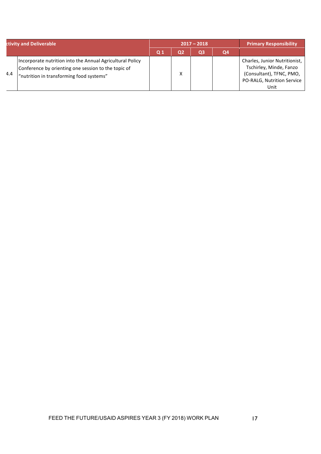| ctivity and Deliverable |                                                                                                                                                              |     |    | $2017 - 2018$ | <b>Primary Responsibility</b> |                                                                                                                            |
|-------------------------|--------------------------------------------------------------------------------------------------------------------------------------------------------------|-----|----|---------------|-------------------------------|----------------------------------------------------------------------------------------------------------------------------|
|                         |                                                                                                                                                              | Q 1 | Q2 | Q3            | Q4                            |                                                                                                                            |
| 4.4                     | Incorporate nutrition into the Annual Agricultural Policy<br>Conference by orienting one session to the topic of<br>"nutrition in transforming food systems" |     | х  |               |                               | Charles, Junior Nutritionist,<br>Tschirley, Minde, Fanzo<br>(Consultant), TFNC, PMO,<br>PO-RALG, Nutrition Service<br>Unit |